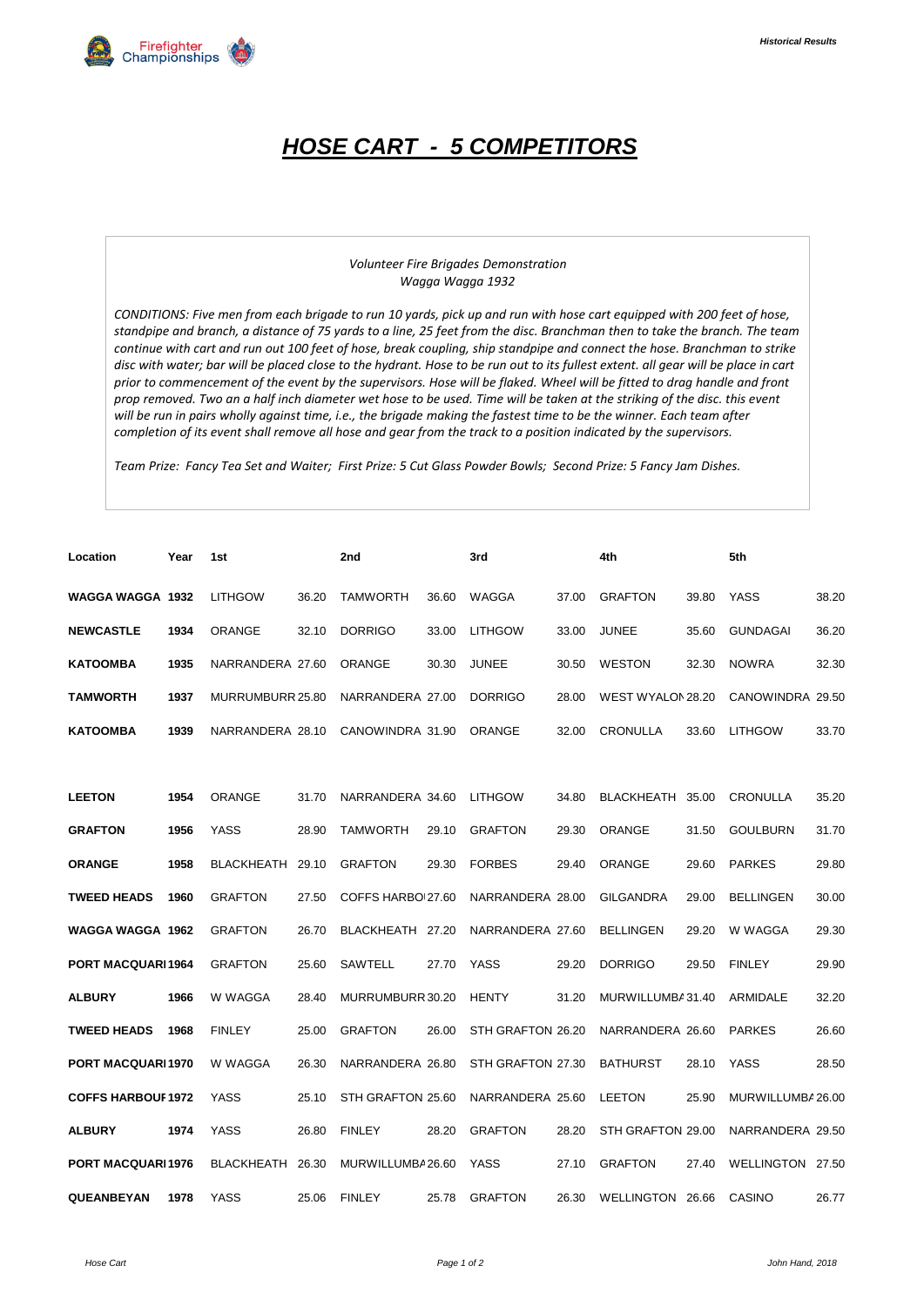

## *HOSE CART - 5 COMPETITORS*

## *Volunteer Fire Brigades Demonstration Wagga Wagga 1932*

*CONDITIONS: Five men from each brigade to run 10 yards, pick up and run with hose cart equipped with 200 feet of hose, standpipe and branch, a distance of 75 yards to a line, 25 feet from the disc. Branchman then to take the branch. The team continue with cart and run out 100 feet of hose, break coupling, ship standpipe and connect the hose. Branchman to strike*  disc with water; bar will be placed close to the hydrant. Hose to be run out to its fullest extent. all gear will be place in cart *prior to commencement of the event by the supervisors. Hose will be flaked. Wheel will be fitted to drag handle and front prop removed. Two an a half inch diameter wet hose to be used. Time will be taken at the striking of the disc. this event will be run in pairs wholly against time, i.e., the brigade making the fastest time to be the winner. Each team after completion of its event shall remove all hose and gear from the track to a position indicated by the supervisors.*

*Team Prize: Fancy Tea Set and Waiter; First Prize: 5 Cut Glass Powder Bowls; Second Prize: 5 Fancy Jam Dishes.*

| Location                  | Year | 1st               |       | 2nd               |       | 3rd               |       | 4th               |       | 5th               |       |
|---------------------------|------|-------------------|-------|-------------------|-------|-------------------|-------|-------------------|-------|-------------------|-------|
| <b>WAGGA WAGGA 1932</b>   |      | <b>LITHGOW</b>    | 36.20 | <b>TAMWORTH</b>   | 36.60 | WAGGA             | 37.00 | <b>GRAFTON</b>    | 39.80 | YASS              | 38.20 |
| <b>NEWCASTLE</b>          | 1934 | <b>ORANGE</b>     | 32.10 | <b>DORRIGO</b>    | 33.00 | <b>LITHGOW</b>    | 33.00 | <b>JUNEE</b>      | 35.60 | <b>GUNDAGAI</b>   | 36.20 |
| <b>KATOOMBA</b>           | 1935 | NARRANDERA 27.60  |       | <b>ORANGE</b>     | 30.30 | <b>JUNEE</b>      | 30.50 | <b>WESTON</b>     | 32.30 | <b>NOWRA</b>      | 32.30 |
| <b>TAMWORTH</b>           | 1937 | MURRUMBURR 25.80  |       | NARRANDERA 27.00  |       | <b>DORRIGO</b>    | 28.00 | WEST WYALON 28.20 |       | CANOWINDRA 29.50  |       |
| <b>KATOOMBA</b>           | 1939 | NARRANDERA 28.10  |       | CANOWINDRA 31.90  |       | <b>ORANGE</b>     | 32.00 | CRONULLA          | 33.60 | <b>LITHGOW</b>    | 33.70 |
|                           |      |                   |       |                   |       |                   |       |                   |       |                   |       |
| <b>LEETON</b>             | 1954 | ORANGE            | 31.70 | NARRANDERA 34.60  |       | <b>LITHGOW</b>    | 34.80 | BLACKHEATH 35.00  |       | <b>CRONULLA</b>   | 35.20 |
| <b>GRAFTON</b>            | 1956 | <b>YASS</b>       | 28.90 | <b>TAMWORTH</b>   | 29.10 | <b>GRAFTON</b>    | 29.30 | <b>ORANGE</b>     | 31.50 | <b>GOULBURN</b>   | 31.70 |
| <b>ORANGE</b>             | 1958 | BLACKHEATH        | 29.10 | <b>GRAFTON</b>    | 29.30 | <b>FORBES</b>     | 29.40 | <b>ORANGE</b>     | 29.60 | <b>PARKES</b>     | 29.80 |
| <b>TWEED HEADS</b>        | 1960 | <b>GRAFTON</b>    | 27.50 | COFFS HARBO 27.60 |       | NARRANDERA 28.00  |       | <b>GILGANDRA</b>  | 29.00 | <b>BELLINGEN</b>  | 30.00 |
| WAGGA WAGGA 1962          |      | <b>GRAFTON</b>    | 26.70 | BLACKHEATH 27.20  |       | NARRANDERA 27.60  |       | <b>BELLINGEN</b>  | 29.20 | W WAGGA           | 29.30 |
| <b>PORT MACQUARI1964</b>  |      | <b>GRAFTON</b>    | 25.60 | <b>SAWTELL</b>    | 27.70 | <b>YASS</b>       | 29.20 | <b>DORRIGO</b>    | 29.50 | <b>FINLEY</b>     | 29.90 |
| <b>ALBURY</b>             | 1966 | W WAGGA           | 28.40 | MURRUMBURR 30.20  |       | <b>HENTY</b>      | 31.20 | MURWILLUMBA 31.40 |       | ARMIDALE          | 32.20 |
| <b>TWEED HEADS</b>        | 1968 | <b>FINLEY</b>     | 25.00 | <b>GRAFTON</b>    | 26.00 | STH GRAFTON 26.20 |       | NARRANDERA 26.60  |       | <b>PARKES</b>     | 26.60 |
| <b>PORT MACQUARI1970</b>  |      | W WAGGA           | 26.30 | NARRANDERA 26.80  |       | STH GRAFTON 27.30 |       | <b>BATHURST</b>   | 28.10 | <b>YASS</b>       | 28.50 |
| <b>COFFS HARBOUF 1972</b> |      | <b>YASS</b>       | 25.10 | STH GRAFTON 25.60 |       | NARRANDERA 25.60  |       | <b>LEETON</b>     | 25.90 | MURWILLUMBA 26.00 |       |
| <b>ALBURY</b>             | 1974 | <b>YASS</b>       | 26.80 | <b>FINLEY</b>     | 28.20 | <b>GRAFTON</b>    | 28.20 | STH GRAFTON 29.00 |       | NARRANDERA 29.50  |       |
| <b>PORT MACQUARI1976</b>  |      | <b>BLACKHEATH</b> | 26.30 | MURWILLUMBA 26.60 |       | <b>YASS</b>       | 27.10 | <b>GRAFTON</b>    | 27.40 | WELLINGTON 27.50  |       |
| <b>QUEANBEYAN</b>         | 1978 | <b>YASS</b>       | 25.06 | <b>FINLEY</b>     | 25.78 | <b>GRAFTON</b>    | 26.30 | WELLINGTON 26.66  |       | CASINO            | 26.77 |